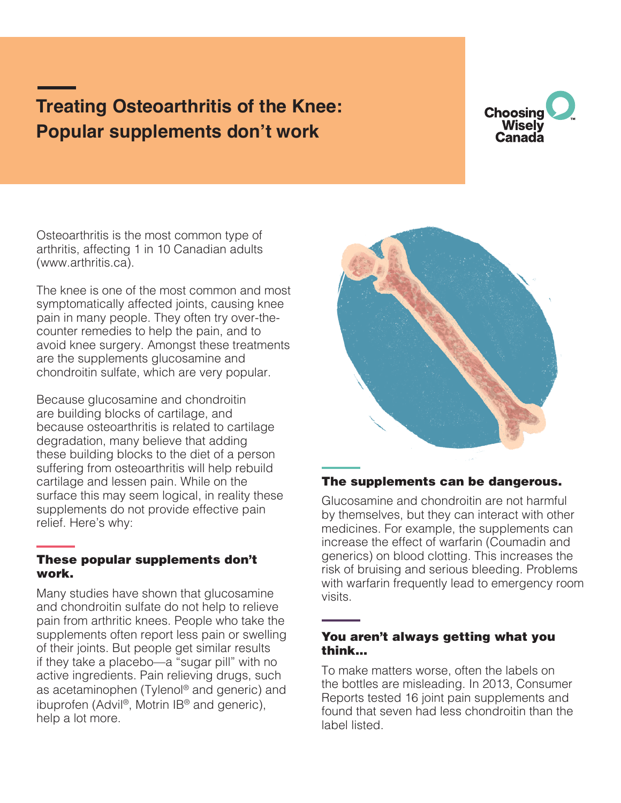# **Treating Osteoarthritis of the Knee: Popular supplements don't work**



Osteoarthritis is the most common type of arthritis, affecting 1 in 10 Canadian adults (www.arthritis.ca).

The knee is one of the most common and most symptomatically affected joints, causing knee pain in many people. They often try over-thecounter remedies to help the pain, and to avoid knee surgery. Amongst these treatments are the supplements glucosamine and chondroitin sulfate, which are very popular.

Because glucosamine and chondroitin are building blocks of cartilage, and because osteoarthritis is related to cartilage degradation, many believe that adding these building blocks to the diet of a person suffering from osteoarthritis will help rebuild cartilage and lessen pain. While on the surface this may seem logical, in reality these supplements do not provide effective pain relief. Here's why:

#### These popular supplements don't work.

Many studies have shown that glucosamine and chondroitin sulfate do not help to relieve pain from arthritic knees. People who take the supplements often report less pain or swelling of their joints. But people get similar results if they take a placebo—a "sugar pill" with no active ingredients. Pain relieving drugs, such as acetaminophen (Tylenol® and generic) and ibuprofen (Advil®, Motrin IB® and generic), help a lot more.



## The supplements can be dangerous.

Glucosamine and chondroitin are not harmful by themselves, but they can interact with other medicines. For example, the supplements can increase the effect of warfarin (Coumadin and generics) on blood clotting. This increases the risk of bruising and serious bleeding. Problems with warfarin frequently lead to emergency room visits.

#### You aren't always getting what you think...

To make matters worse, often the labels on the bottles are misleading. In 2013, Consumer Reports tested 16 joint pain supplements and found that seven had less chondroitin than the label listed.